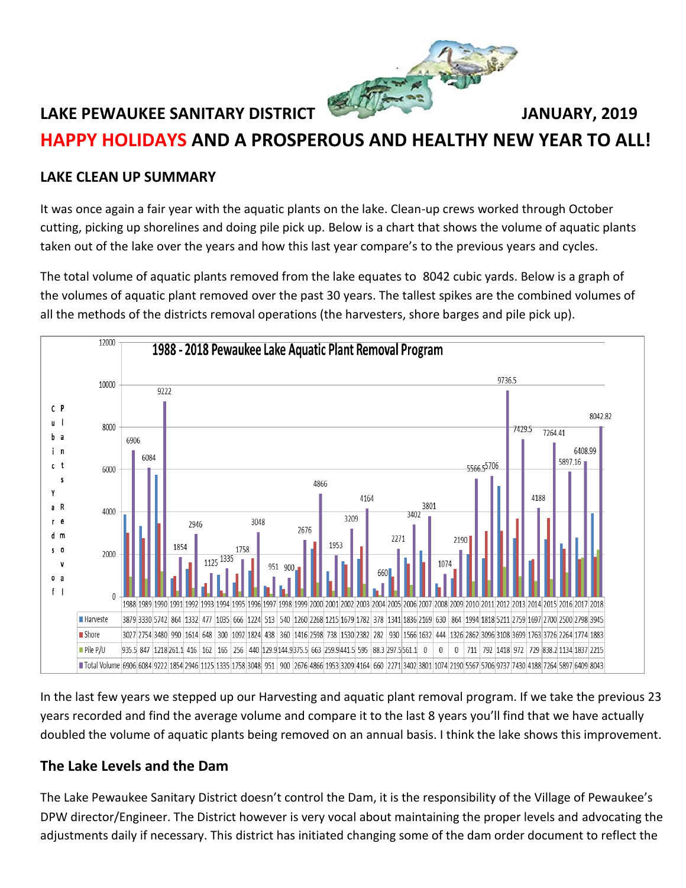

## LAKE PEWAUKEE SANITARY DISTRICT **SECURE 2019** JANUARY, 2019

# **HAPPY HOLIDAYS AND A PROSPEROUS AND HEALTHY NEW YEAR TO ALL!**

### **LAKE CLEAN UP SUMMARY**

It was once again a fair year with the aquatic plants on the lake. Clean-up crews worked through October cutting, picking up shorelines and doing pile pick up. Below is a chart that shows the volume of aquatic plants taken out of the lake over the years and how this last year compare's to the previous years and cycles.

The total volume of aquatic plants removed from the lake equates to 8042 cubic yards. Below is a graph of the volumes of aquatic plant removed over the past 30 years. The tallest spikes are the combined volumes of all the methods of the districts removal operations (the harvesters, shore barges and pile pick up).



In the last few years we stepped up our Harvesting and aquatic plant removal program. If we take the previous 23 years recorded and find the average volume and compare it to the last 8 years you'll find that we have actually doubled the volume of aquatic plants being removed on an annual basis. I think the lake shows this improvement.

## **The Lake Levels and the Dam**

The Lake Pewaukee Sanitary District doesn't control the Dam, it is the responsibility of the Village of Pewaukee's DPW director/Engineer. The District however is very vocal about maintaining the proper levels and advocating the adjustments daily if necessary. This district has initiated changing some of the dam order document to reflect the